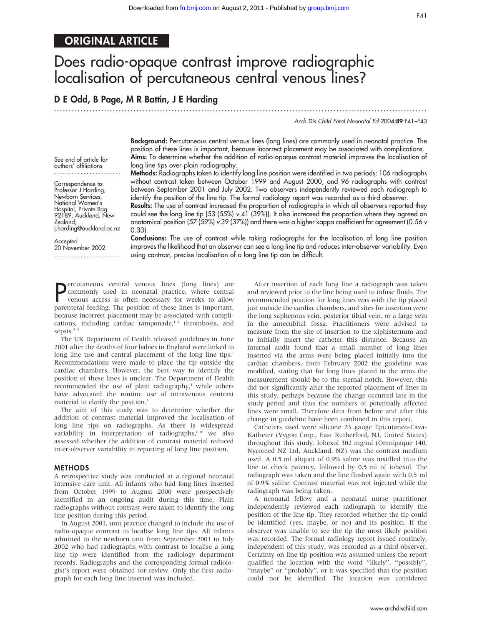# ORIGINAL ARTICLE

# Does radio-opaque contrast improve radiographic localisation of percutaneous central venous lines?

## D E Odd, B Page, M R Battin, J E Harding

.............................................................................................................................. .

Arch Dis Child Fetal Neonatal Ed 2004;89:F41–F43

Background: Percutaneous central venous lines (long lines) are commonly used in neonatal practice. The position of these lines is important, because incorrect placement may be associated with complications. Aims: To determine whether the addition of radio-opaque contrast material improves the localisation of long line tips over plain radiography.

Methods: Radiographs taken to identify long line position were identified in two periods; 106 radiographs without contrast taken between October 1999 and August 2000, and 96 radiographs with contrast between September 2001 and July 2002. Two observers independently reviewed each radiograph to identify the position of the line tip. The formal radiology report was recorded as a third observer.

Results: The use of contrast increased the proportion of radiographs in which all observers reported they could see the long line tip (53 (55%)  $v$  41 (39%)). It also increased the proportion where they agreed on anatomical position (57 (59%) v 39 (37%)) and there was a higher kappa coefficient for agreement (0.56 v 0.33).

**Accepted** 20 November 2002 .......................

j.harding@auckland.ac.nz

Zealand;

See end of article for authors' affiliations ....................... Correspondence to: Professor J Harding, Newborn Services, National Women's Hospital, Private Bag 92189, Auckland, New

> Conclusions: The use of contrast while taking radiographs for the localisation of long line position improves the likelihood that an observer can see a long line tip and reduces inter-observer variability. Even using contrast, precise localisation of a long line tip can be difficult.

**P** crutaneous central venous lines (long lines) are<br>
commonly used in neonatal practice, where central<br>
venous access is often necessary for weeks to allow ercutaneous central venous lines (long lines) are venous access is often necessary for weeks to allow parenteral feeding. The position of these lines is important, because incorrect placement may be associated with complications, including cardiac tamponade,<sup>12</sup> thrombosis, and sepsis.<sup>34</sup>

The UK Department of Health released guidelines in June 2001 after the deaths of four babies in England were linked to long line use and central placement of the long line tips.<sup>1</sup> Recommendations were made to place the tip outside the cardiac chambers. However, the best way to identify the position of these lines is unclear. The Department of Health recommended the use of plain radiography,<sup>1</sup> while others have advocated the routine use of intravenous contrast material to clarify the position.<sup>5</sup>

The aim of this study was to determine whether the addition of contrast material improved the localisation of long line tips on radiographs. As there is widespread variability in interpretation of radiographs,<sup>68</sup> we also assessed whether the addition of contrast material reduced inter-observer variability in reporting of long line position.

#### METHODS

A retrospective study was conducted at a regional neonatal intensive care unit. All infants who had long lines inserted from October 1999 to August 2000 were prospectively identified in an ongoing audit during this time. Plain radiographs without contrast were taken to identify the long line position during this period.

In August 2001, unit practice changed to include the use of radio-opaque contrast to localise long line tips. All infants admitted to the newborn unit from September 2001 to July 2002 who had radiographs with contrast to localise a long line tip were identified from the radiology department records. Radiographs and the corresponding formal radiologist's report were obtained for review. Only the first radiograph for each long line inserted was included.

After insertion of each long line a radiograph was taken and reviewed prior to the line being used to infuse fluids. The recommended position for long lines was with the tip placed just outside the cardiac chambers, and sites for insertion were the long saphenous vein, posterior tibial vein, or a large vein in the antecubital fossa. Practitioners were advised to measure from the site of insertion to the xiphisternum and to initially insert the catheter this distance. Because an internal audit found that a small number of long lines inserted via the arms were being placed initially into the cardiac chambers, from February 2002 the guideline was modified, stating that for long lines placed in the arms the measurement should be to the sternal notch. However, this did not significantly alter the reported placement of lines in this study, perhaps because the change occurred late in the study period and thus the numbers of potentially affected lines were small. Therefore data from before and after this change in guideline have been combined in this report.

Catheters used were silicone 23 gauge Epicutaneo-Cava-Katheter (Vygon Corp., East Rutherford, NJ, United States) throughout this study. Iohexol 302 mg/ml (Omnipaque 140, Nycomed NZ Ltd, Auckland, NZ) was the contrast medium used. A 0.5 ml aliquot of 0.9% saline was instilled into the line to check patency, followed by 0.5 ml of iohexol. The radiograph was taken and the line flushed again with 0.5 ml of 0.9% saline. Contrast material was not injected while the radiograph was being taken.

A neonatal fellow and a neonatal nurse practitioner independently reviewed each radiograph to identify the position of the line tip. They recorded whether the tip could be identified (yes, maybe, or no) and its position. If the observer was unable to see the tip the most likely position was recorded. The formal radiology report issued routinely, independent of this study, was recorded as a third observer. Certainty on line tip position was assumed unless the report qualified the location with the word ''likely'', ''possibly'', "maybe" or "probably", or it was specified that the position could not be identified. The location was considered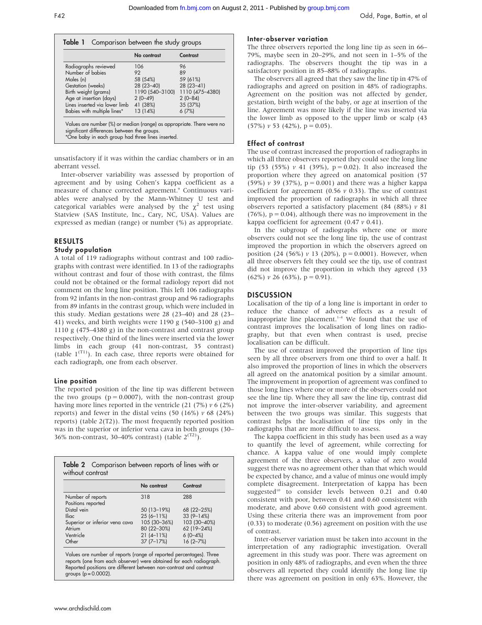|                                                                       | No contrast     | Contrast        |
|-----------------------------------------------------------------------|-----------------|-----------------|
| Radiographs reviewed                                                  | 106             | 96              |
| Number of babies                                                      | 92              | 89              |
| Males (n)                                                             | 58 (54%)        | 59 (61%)        |
| Gestation (weeks)                                                     | $28(23-40)$     | $28(23 - 41)$   |
| Birth weight (grams)                                                  | 1190 (540-3100) | 1110 (475-4380) |
| Age at insertion (days)                                               | $2(0-49)$       | $2(0-84)$       |
| Lines inserted via lower limb                                         | 41 (38%)        | 35 (37%)        |
| Babies with multiple lines*                                           | 13 (14%)        | 6(7%)           |
| Values are number (%) or median (range) as appropriate. There were no |                 |                 |

unsatisfactory if it was within the cardiac chambers or in an aberrant vessel.

Inter-observer variability was assessed by proportion of agreement and by using Cohen's kappa coefficient as a measure of chance corrected agreement.<sup>9</sup> Continuous variables were analysed by the Mann-Whitney U test and categorical variables were analysed by the  $\chi^2$  test using Statview (SAS Institute, Inc., Cary, NC, USA). Values are expressed as median (range) or number (%) as appropriate.

### RESULTS

## Study population

A total of 119 radiographs without contrast and 100 radiographs with contrast were identified. In 13 of the radiographs without contrast and four of those with contrast, the films could not be obtained or the formal radiology report did not comment on the long line position. This left 106 radiographs from 92 infants in the non-contrast group and 96 radiographs from 89 infants in the contrast group, which were included in this study. Median gestations were 28 (23–40) and 28 (23– 41) weeks, and birth weights were 1190 g (540–3100 g) and 1110 g (475–4380 g) in the non-contrast and contrast group respectively. One third of the lines were inserted via the lower limbs in each group (41 non-contrast, 35 contrast) (table  $1^{(T1)}$ ). In each case, three reports were obtained for each radiograph, one from each observer.

#### Line position

The reported position of the line tip was different between the two groups ( $p = 0.0007$ ), with the non-contrast group having more lines reported in the ventricle  $(21 (7%) v 6 (2%)$ reports) and fewer in the distal veins (50 (16%)  $v$  68 (24%) reports) (table 2(T2)). The most frequently reported position was in the superior or inferior vena cava in both groups (30– 36% non-contrast, 30–40% contrast) (table  $2^{(T2)}$ ).

|                                | No contrast  | Contrast      |
|--------------------------------|--------------|---------------|
| Number of reports              | 318          | 288           |
| Positions reported             |              |               |
| Distal vein                    | 50 (13-19%)  | 68 (22 - 25%) |
| <b>Iliac</b>                   | $25(6-11%)$  | $33(9 - 14%)$ |
| Superior or inferior vena cava | 105 (30-36%) | 103 (30-40%)  |
| Atrium                         | 80 (22-30%)  | 62 (19-24%)   |
| Ventricle                      | $21(4-11%)$  | $6(0-4%)$     |
| Other                          | $37(7-17%)$  | $16(2 - 7%)$  |

Inter-observer variation

The three observers reported the long line tip as seen in 66– 79%, maybe seen in 20–29%, and not seen in 1–5% of the radiographs. The observers thought the tip was in a satisfactory position in 85–88% of radiographs.

The observers all agreed that they saw the line tip in 47% of radiographs and agreed on position in 48% of radiographs. Agreement on the position was not affected by gender, gestation, birth weight of the baby, or age at insertion of the line. Agreement was more likely if the line was inserted via the lower limb as opposed to the upper limb or scalp (43  $(57\%) v 53 (42\%)$ ,  $p = 0.05$ ).

#### Effect of contrast

The use of contrast increased the proportion of radiographs in which all three observers reported they could see the long line tip (53 (55%)  $v$  41 (39%),  $p = 0.02$ ). It also increased the proportion where they agreed on anatomical position (57 (59%)  $v$  39 (37%),  $p = 0.001$ ) and there was a higher kappa coefficient for agreement (0.56  $\nu$  0.33). The use of contrast improved the proportion of radiographs in which all three observers reported a satisfactory placement (84 (88%)  $v$  81  $(76%)$ ,  $p = 0.04$ ), although there was no improvement in the kappa coefficient for agreement  $(0.47 \nu 0.41)$ .

In the subgroup of radiographs where one or more observers could not see the long line tip, the use of contrast improved the proportion in which the observers agreed on position (24 (56%)  $v$  13 (20%),  $p = 0.0001$ ). However, when all three observers felt they could see the tip, use of contrast did not improve the proportion in which they agreed (33  $(62\%) v 26 (63\%) p = 0.91$ .

#### **DISCUSSION**

Localisation of the tip of a long line is important in order to reduce the chance of adverse effects as a result of inappropriate line placement. $1-4$  We found that the use of contrast improves the localisation of long lines on radiography, but that even when contrast is used, precise localisation can be difficult.

The use of contrast improved the proportion of line tips seen by all three observers from one third to over a half. It also improved the proportion of lines in which the observers all agreed on the anatomical position by a similar amount. The improvement in proportion of agreement was confined to those long lines where one or more of the observers could not see the line tip. Where they all saw the line tip, contrast did not improve the inter-observer variability, and agreement between the two groups was similar. This suggests that contrast helps the localisation of line tips only in the radiographs that are more difficult to assess.

The kappa coefficient in this study has been used as a way to quantify the level of agreement, while correcting for chance. A kappa value of one would imply complete agreement of the three observers, a value of zero would suggest there was no agreement other than that which would be expected by chance, and a value of minus one would imply complete disagreement. Interpretation of kappa has been suggested<sup>10</sup> to consider levels between 0.21 and 0.40 consistent with poor, between 0.41 and 0.60 consistent with moderate, and above 0.60 consistent with good agreement. Using these criteria there was an improvement from poor (0.33) to moderate (0.56) agreement on position with the use of contrast.

Inter-observer variation must be taken into account in the interpretation of any radiographic investigation. Overall agreement in this study was poor. There was agreement on position in only 48% of radiographs, and even when the three observers all reported they could identify the long line tip there was agreement on position in only 63%. However, the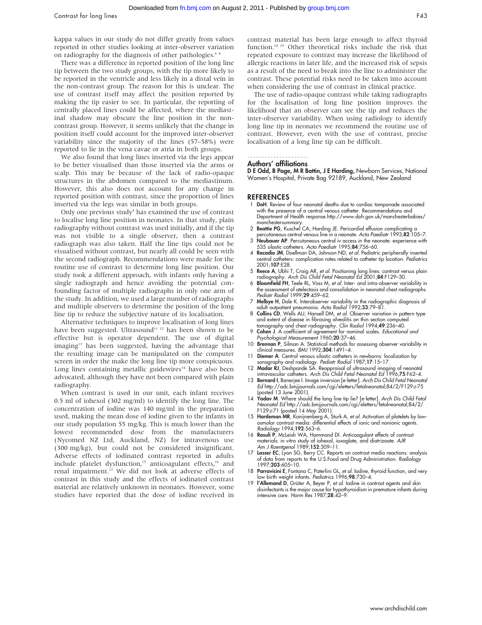kappa values in our study do not differ greatly from values reported in other studies looking at inter-observer variation on radiography for the diagnosis of other pathologies.<sup>6</sup>

There was a difference in reported position of the long line tip between the two study groups, with the tip more likely to be reported in the ventricle and less likely in a distal vein in the non-contrast group. The reason for this is unclear. The use of contrast itself may affect the position reported by making the tip easier to see. In particular, the reporting of centrally placed lines could be affected, where the mediastinal shadow may obscure the line position in the noncontrast group. However, it seems unlikely that the change in position itself could account for the improved inter-observer variability since the majority of the lines (57–58%) were reported to lie in the vena cavae or atria in both groups.

We also found that long lines inserted via the legs appear to be better visualised than those inserted via the arms or scalp. This may be because of the lack of radio-opaque structures in the abdomen compared to the mediastinum. However, this also does not account for any change in reported position with contrast, since the proportion of lines inserted via the legs was similar in both groups.

Only one previous study<sup>5</sup> has examined the use of contrast to localise long line position in neonates. In that study, plain radiography without contrast was used initially, and if the tip was not visible to a single observer, then a contrast radiograph was also taken. Half the line tips could not be visualised without contrast, but nearly all could be seen with the second radiograph. Recommendations were made for the routine use of contrast to determine long line position. Our study took a different approach, with infants only having a single radiograph and hence avoiding the potential confounding factor of multiple radiographs in only one arm of the study. In addition, we used a large number of radiographs and multiple observers to determine the position of the long line tip to reduce the subjective nature of its localisation.

Alternative techniques to improve localisation of long lines have been suggested. Ultrasound<sup>11 12</sup> has been shown to be effective but is operator dependent. The use of digital imaging<sup>13</sup> has been suggested, having the advantage that the resulting image can be manipulated on the computer screen in order the make the long line tip more conspicuous. Long lines containing metallic guidewires $14$  have also been advocated, although they have not been compared with plain radiography.

When contrast is used in our unit, each infant receives 0.5 ml of iohexol (302 mg/ml) to identify the long line. The concentration of iodine was 140 mg/ml in the preparation used, making the mean dose of iodine given to the infants in our study population 55 mg/kg. This is much lower than the lowest recommended dose from the manufacturers (Nycomed NZ Ltd, Auckland, NZ) for intravenous use (300 mg/kg), but could not be considered insignificant. Adverse effects of iodinated contrast reported in adults include platelet dysfunction,<sup>15</sup> anticoagulant effects,<sup>16</sup> and renal impairment.17 We did not look at adverse effects of contrast in this study and the effects of iodinated contrast material are relatively unknown in neonates. However, some studies have reported that the dose of iodine received in contrast material has been large enough to affect thyroid function.18 19 Other theoretical risks include the risk that repeated exposure to contrast may increase the likelihood of allergic reactions in later life, and the increased risk of sepsis as a result of the need to break into the line to administer the contrast. These potential risks need to be taken into account when considering the use of contrast in clinical practice.

The use of radio-opaque contrast while taking radiographs for the localisation of long line position improves the likelihood that an observer can see the tip and reduces the inter-observer variability. When using radiology to identify long line tip in neonates we recommend the routine use of contrast. However, even with the use of contrast, precise localisation of a long line tip can be difficult.

#### Authors' affiliations .....................

D E Odd, B Page, M R Battin, J E Harding, Newborn Services, National Women's Hospital, Private Bag 92189, Auckland, New Zealand

#### **REFERENCES**

- 1 DoH. Review of four neonatal deaths due to cardiac tamponade associated with the presence of a central venous catheter. Recommendations and Department of Health response.http://www.doh.gov.uk/manchesterbabies/ manchestersummary.
- 2 Beattie PG, Kuschel CA, Harding JE. Pericardial effusion complicating a
- percutaneous central venous line in a neonate. Acta Paediatr 1993;82:105–7. 3 Neubauer AP. Percutaneous central iv access in the neonate: experience with
- 535 silastic catheters. Acta Paediatr 1995;84:756–60. 4 Racadio JM, Doellman DA, Johnson ND, et al. Pediatric peripherally inserted central catheters: complication rates related to catheter tip location. Pediatrics 2001;107:E28.
- 5 Reece A, Ubhi T, Craig AR, et al. Positioning long lines: contrast versus plain radiography. Arch Dis Child Fetal Neonatal Ed 2001;84:F129–30.
- 6 Bloomfield FH, Teele RL, Voss M, et al. Inter- and intra-observer variability in the assessment of atelectasis and consolidation in neonatal chest radiographs. Pediatr Radiol 1999;29:459–62.
- 7 Melbye H, Dale K. Interobserver variability in the radiographic diagnosis of adult outpatient pneumonia. Acta Radiol 1992;33:79–81.
- 8 Collins CD, Wells AU, Hansell DM, et al. Observer variation in pattern type and extent of disease in fibrosing alveolitis on thin section computed
- tomography and chest radiography. Clin Radiol 1994;**49**:236–40.<br>9 **Cohen J**. A coefficient of agreement for nominal scales. *Educational and* Psychological Measurement 1960;20:37–46.
- 10 Brennan P, Silman A. Statistical methods for assessing observer variability in clinical measures. BMJ 1992;304:1491-4.
- 11 Diemer A. Central venous silastic catheters in newborns: localization by
- sonography and radiology. Pediatr Radiol 1987;17:15–17.<br>12 Madar RJ, Deshpande SA. Reappraisal of ultrasound imaging of neonatal<br>1996;75:F62–4. Arch Dis Child Fetal Neonatal Ed 1996;75:F62–4.
- 13 Bernard I, Banerjee I. Image inversion [e-letter]. Arch Dis Child Fetal Neonatal Ed http://adc.bmjjournals.com/cgi/eletters/fetalneonatal;84/2/F129#75 (posted 13 June 2001).<br>14 Yadav M. Where should the long line tip lie? [e-letter]. Arch Dis Child Feta
- Neonatal Ed http://adc.bmjjournals.com/cgi/eletters/fetalneonatal;84/2/ F129#71 (posted 14 May 2001).
- 15 Hardeman MR, Konijnenberg A, Sturk A, et al. Activation of platelets by low-osmolar contrast media: differential effects of ionic and nonionic agents. Radiology 1994;192:563–6.
- 16 Rasuli P, McLeish WA, Hammond DI. Anticoagulant effects of contrast materials: in vitro study of iohexol, ioxaglate, and diatrizoate. AJR Am J Roentgenol 1989;152:309-11.
- 17 Lasser EC, Lyon SG, Berry CC. Reports on contrast media reactions: analysis of data from reports to the U.S.Food and Drug Administration. Radiology 1997;203:605–10.
- 18 Parravicini E, Fontana C, Paterlini GL, et al. Iodine, thyroid function, and very low birth weight infants. Pediatrics 1996;98:730–4.
- 19 *l'Allemand D, Grüter A, Beyer P, et al.* Iodine in contrast agents and skin disinfectants is the major cause for hypothyroidism in premature infants during intensive care. Horm Res 1987;28:42-9.

www.archdischild.com